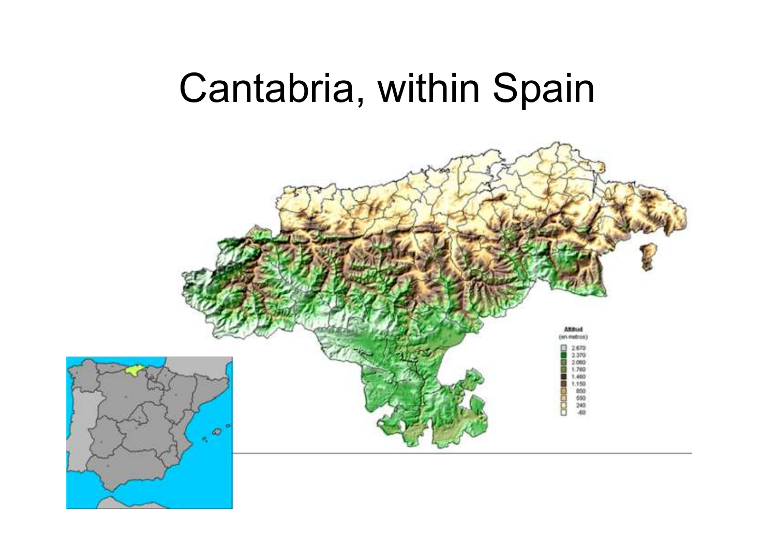# Cantabria, within Spain

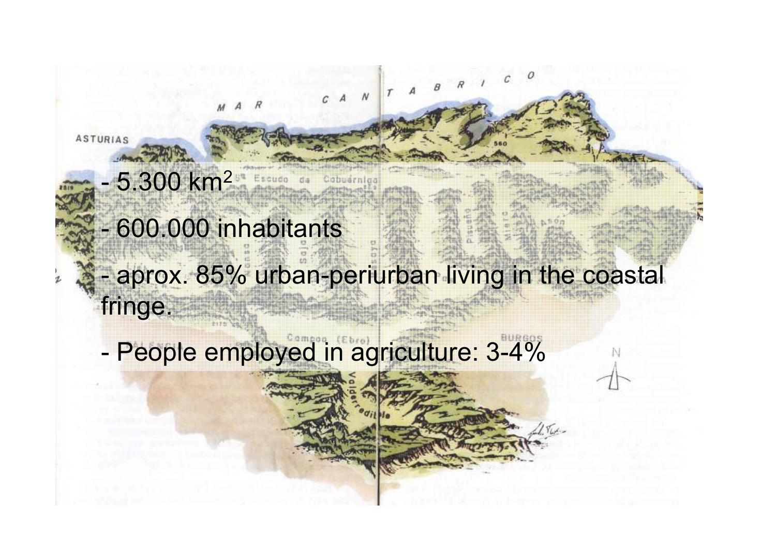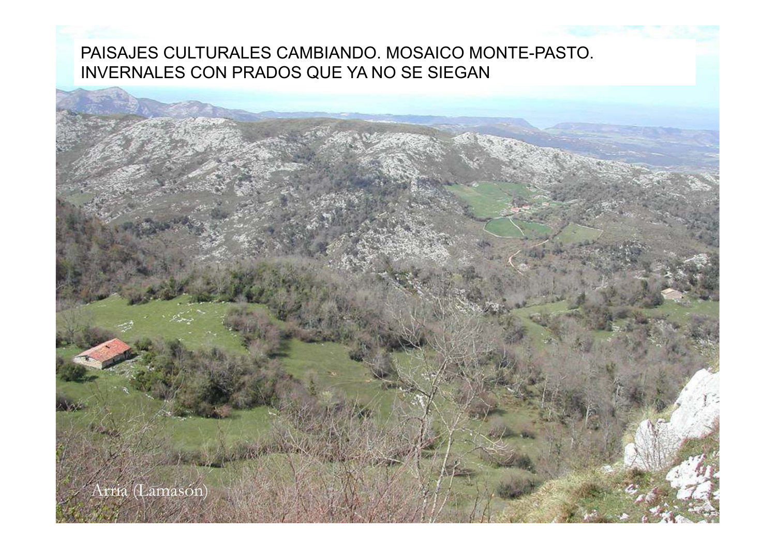## PAISAJES CULTURALES CAMBIANDO. MOSAICO MONTE-PASTO. INVERNALES CON PRADOS QUE YA NO SE SIEGAN

Arria (Lamasón)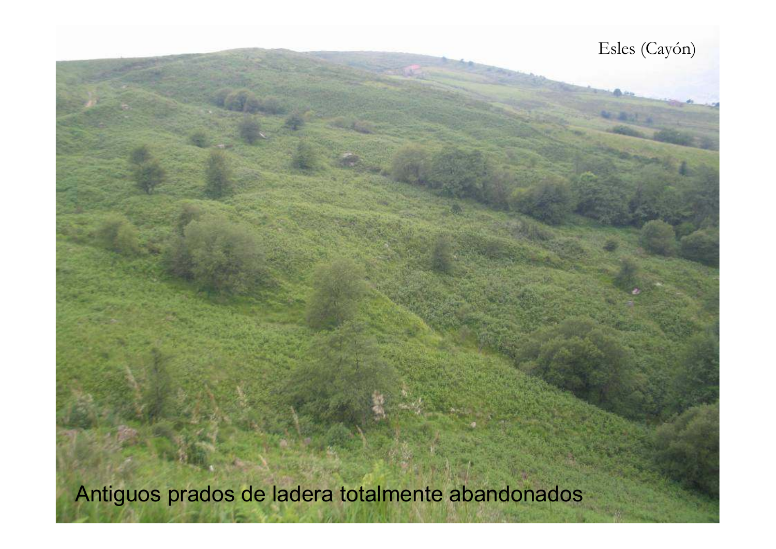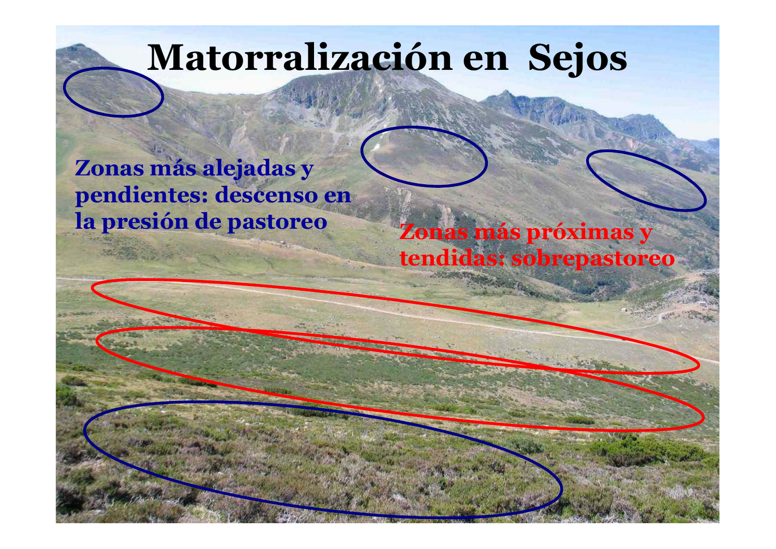# **Matorralización en Sejos**

## **Zonas más alejadas y pendientes: descenso en la presión de pastoreo**

## **Zonas más próximas y tendidas: sobrepastoreo**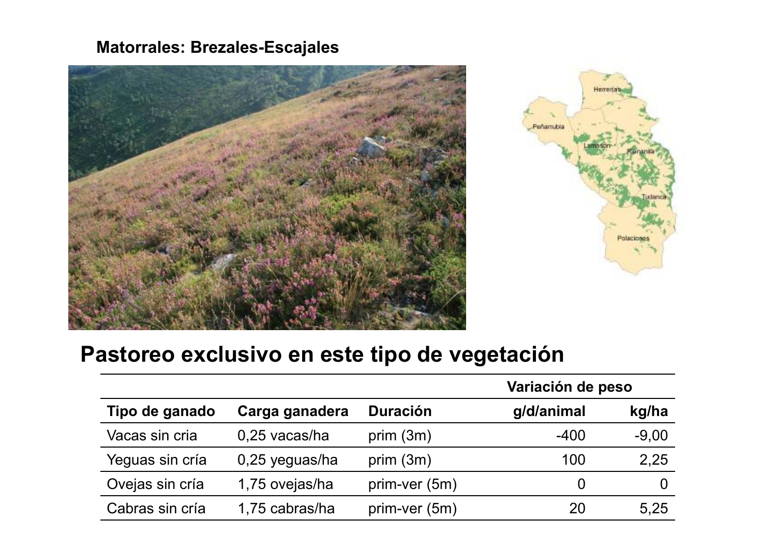## **Matorrales: Brezales-Escajales**





## **Pastoreo exclusivo en este tipo de vegetación**

|                 |                 |                 | Variación de peso |         |
|-----------------|-----------------|-----------------|-------------------|---------|
| Tipo de ganado  | Carga ganadera  | <b>Duración</b> | g/d/animal        | kg/ha   |
| Vacas sin cria  | $0,25$ vacas/ha | prim $(3m)$     | $-400$            | $-9,00$ |
| Yeguas sin cría | 0,25 yeguas/ha  | prim $(3m)$     | 100               | 2,25    |
| Ovejas sin cría | 1,75 ovejas/ha  | prim-ver (5m)   | $\overline{0}$    |         |
| Cabras sin cría | 1,75 cabras/ha  | prim-ver (5m)   | 20                | 5,25    |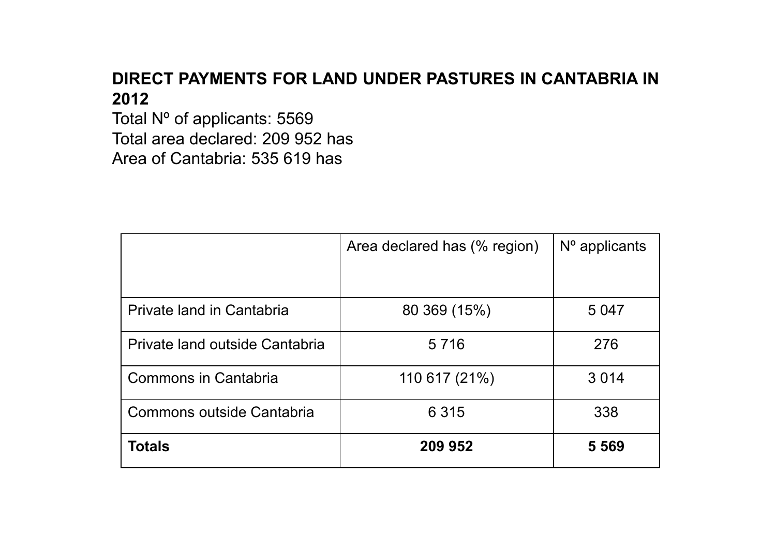## **DIRECT PAYMENTS FOR LAND UNDER PASTURES IN CANTABRIA IN 2012**

 Total Nº of applicants: 5569 Total area declared: 209 952 hasArea of Cantabria: 535 619 has

|                                | Area declared has (% region) | $No$ applicants |
|--------------------------------|------------------------------|-----------------|
|                                |                              |                 |
| Private land in Cantabria      | 80 369 (15%)                 | 5 0 4 7         |
| Private land outside Cantabria | 5 7 1 6                      | 276             |
| <b>Commons in Cantabria</b>    | 110 617 (21%)                | 3014            |
| Commons outside Cantabria      | 6 3 1 5                      | 338             |
| <b>Totals</b>                  | 209 952                      | 5 5 6 9         |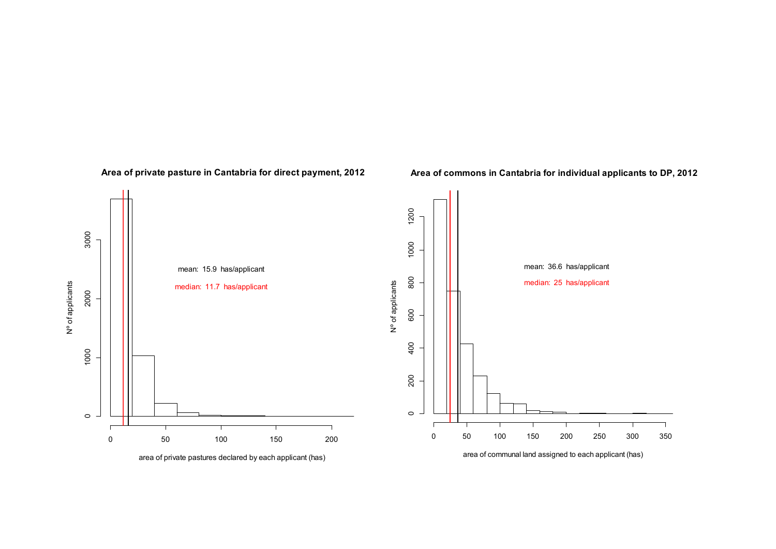

#### **Area of private pasture in Cantabria for direct payment, 2012**

#### **Area of commons in Cantabria for individual applicants to DP, 2012**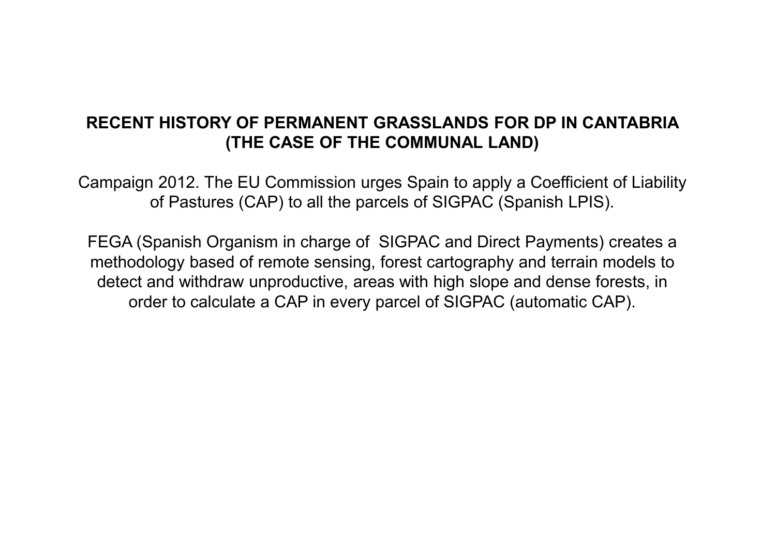### **RECENT HISTORY OF PERMANENT GRASSLANDS FOR DP IN CANTABRIA (THE CASE OF THE COMMUNAL LAND)**

Campaign 2012. The EU Commission urges Spain to apply a Coefficient of Liability of Pastures (CAP) to all the parcels of SIGPAC (Spanish LPIS).

FEGA (Spanish Organism in charge of SIGPAC and Direct Payments) creates a methodology based of remote sensing, forest cartography and terrain models to detect and withdraw unproductive, areas with high slope and dense forests, in order to calculate a CAP in every parcel of SIGPAC (automatic CAP).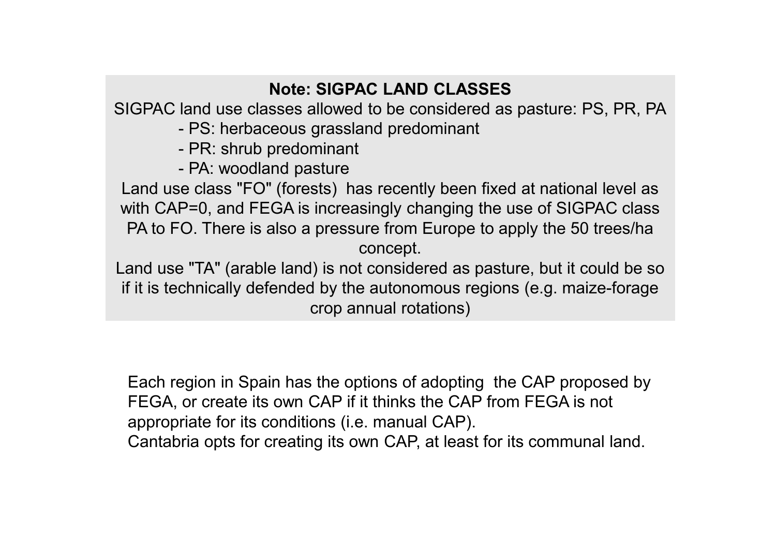## **Note: SIGPAC LAND CLASSES**

SIGPAC land use classes allowed to be considered as pasture: PS, PR, PA

- PS: herbaceous grassland predominant

- PR: shrub predominant

- PA: woodland pasture<br>e slace "FO" (fareate)

Land use class "FO" (forests) has recently been fixed at national level as with CAP=0, and FEGA is increasingly changing the use of SIGPAC class PA to FO. There is also a pressure from Europe to apply the 50 trees/ha concept.

Land use "TA" (arable land) is not considered as pasture, but it could be so if it is technically defended by the autonomous regions (e.g. maize-forage crop annual rotations)

Each region in Spain has the options of adopting the CAP proposed by FEGA, or create its own CAP if it thinks the CAP from FEGA is not appropriate for its conditions (i.e. manual CAP).Cantabria opts for creating its own CAP, at least for its communal land.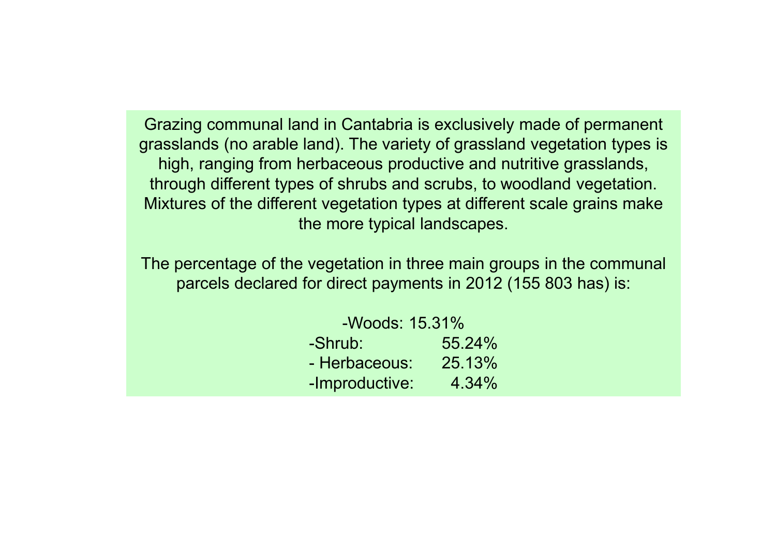Grazing communal land in Cantabria is exclusively made of permanent grasslands (no arable land). The variety of grassland vegetation types is high, ranging from herbaceous productive and nutritive grasslands, through different types of shrubs and scrubs, to woodland vegetation. Mixtures of the different vegetation types at different scale grains make the more typical landscapes.

The percentage of the vegetation in three main groups in the communal parcels declared for direct payments in 2012 (155 803 has) is:

| -Woods: 15.31% |        |  |  |  |
|----------------|--------|--|--|--|
| -Shrub:        | 55.24% |  |  |  |
| - Herbaceous:  | 25.13% |  |  |  |
| -Improductive: | 4.34%  |  |  |  |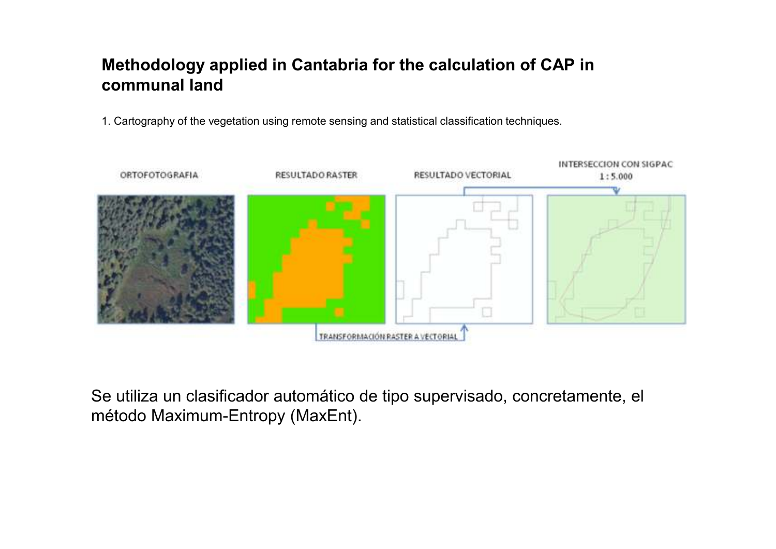## **Methodology applied in Cantabria for the calculation of CAP in communal land**

1. Cartography of the vegetation using remote sensing and statistical classification techniques.



Se utiliza un clasificador automático de tipo supervisado, concretamente, el método Maximum-Entropy (MaxEnt).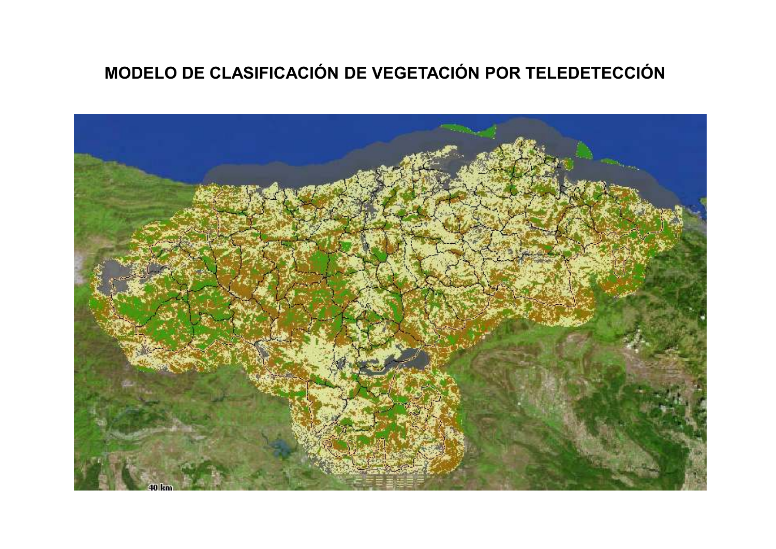## **MODELO DE CLASIFICACIÓN DE VEGETACIÓN POR TELEDETECCIÓN**